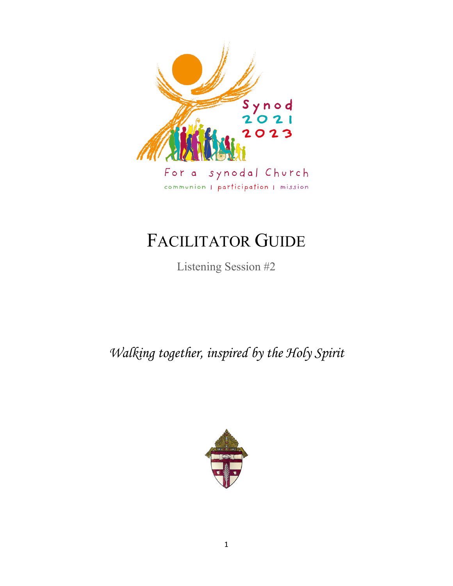

# FACILITATOR GUIDE

Listening Session #2

*Walking together, inspired by the Holy Spirit*

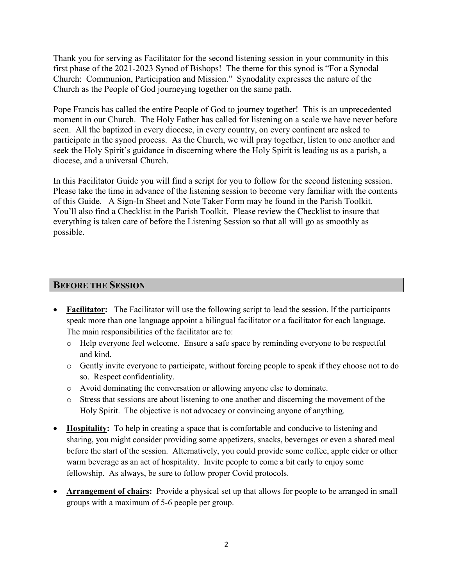Thank you for serving as Facilitator for the second listening session in your community in this first phase of the 2021-2023 Synod of Bishops! The theme for this synod is "For a Synodal Church: Communion, Participation and Mission." Synodality expresses the nature of the Church as the People of God journeying together on the same path.

Pope Francis has called the entire People of God to journey together! This is an unprecedented moment in our Church. The Holy Father has called for listening on a scale we have never before seen. All the baptized in every diocese, in every country, on every continent are asked to participate in the synod process. As the Church, we will pray together, listen to one another and seek the Holy Spirit's guidance in discerning where the Holy Spirit is leading us as a parish, a diocese, and a universal Church.

In this Facilitator Guide you will find a script for you to follow for the second listening session. Please take the time in advance of the listening session to become very familiar with the contents of this Guide. A Sign-In Sheet and Note Taker Form may be found in the Parish Toolkit. You'll also find a Checklist in the Parish Toolkit. Please review the Checklist to insure that everything is taken care of before the Listening Session so that all will go as smoothly as possible.

#### **BEFORE THE SESSION**

- **Facilitator:** The Facilitator will use the following script to lead the session. If the participants speak more than one language appoint a bilingual facilitator or a facilitator for each language. The main responsibilities of the facilitator are to:
	- o Help everyone feel welcome. Ensure a safe space by reminding everyone to be respectful and kind.
	- o Gently invite everyone to participate, without forcing people to speak if they choose not to do so. Respect confidentiality.
	- o Avoid dominating the conversation or allowing anyone else to dominate.
	- o Stress that sessions are about listening to one another and discerning the movement of the Holy Spirit. The objective is not advocacy or convincing anyone of anything.
- **Hospitality:** To help in creating a space that is comfortable and conducive to listening and sharing, you might consider providing some appetizers, snacks, beverages or even a shared meal before the start of the session. Alternatively, you could provide some coffee, apple cider or other warm beverage as an act of hospitality. Invite people to come a bit early to enjoy some fellowship. As always, be sure to follow proper Covid protocols.
- **Arrangement of chairs:** Provide a physical set up that allows for people to be arranged in small groups with a maximum of 5-6 people per group.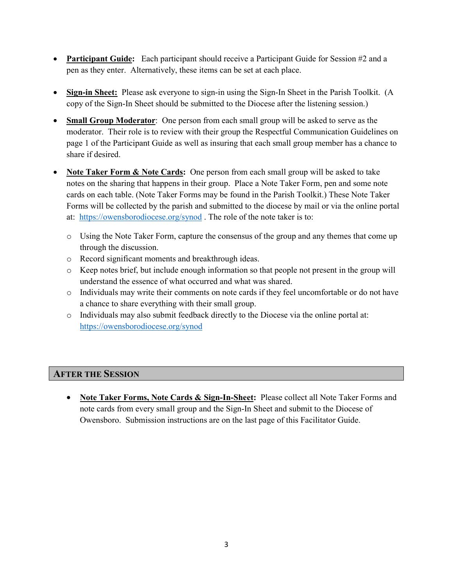- **Participant Guide:** Each participant should receive a Participant Guide for Session #2 and a pen as they enter. Alternatively, these items can be set at each place.
- **Sign-in Sheet:** Please ask everyone to sign-in using the Sign-In Sheet in the Parish Toolkit. (A copy of the Sign-In Sheet should be submitted to the Diocese after the listening session.)
- **Small Group Moderator**: One person from each small group will be asked to serve as the moderator. Their role is to review with their group the Respectful Communication Guidelines on page 1 of the Participant Guide as well as insuring that each small group member has a chance to share if desired.
- **Note Taker Form & Note Cards:** One person from each small group will be asked to take notes on the sharing that happens in their group. Place a Note Taker Form, pen and some note cards on each table. (Note Taker Forms may be found in the Parish Toolkit.) These Note Taker Forms will be collected by the parish and submitted to the diocese by mail or via the online portal at: <https://owensborodiocese.org/synod> . The role of the note taker is to:
	- o Using the Note Taker Form, capture the consensus of the group and any themes that come up through the discussion.
	- o Record significant moments and breakthrough ideas.
	- o Keep notes brief, but include enough information so that people not present in the group will understand the essence of what occurred and what was shared.
	- o Individuals may write their comments on note cards if they feel uncomfortable or do not have a chance to share everything with their small group.
	- o Individuals may also submit feedback directly to the Diocese via the online portal at: <https://owensborodiocese.org/synod>

# **AFTER THE SESSION**

• **Note Taker Forms, Note Cards & Sign-In-Sheet:** Please collect all Note Taker Forms and note cards from every small group and the Sign-In Sheet and submit to the Diocese of Owensboro. Submission instructions are on the last page of this Facilitator Guide.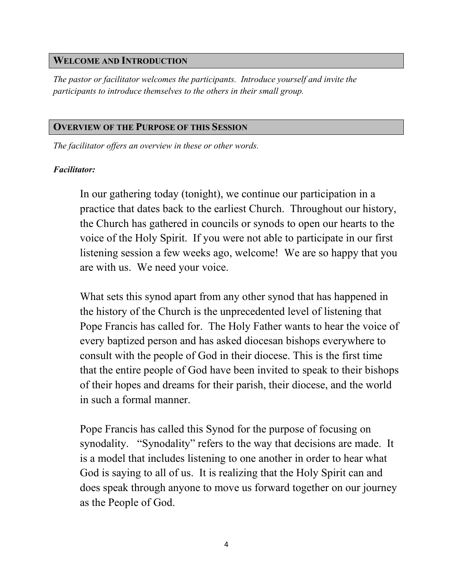#### **WELCOME AND INTRODUCTION**

*The pastor or facilitator welcomes the participants. Introduce yourself and invite the participants to introduce themselves to the others in their small group.*

#### **OVERVIEW OF THE PURPOSE OF THIS SESSION**

*The facilitator offers an overview in these or other words.*

#### *Facilitator:*

In our gathering today (tonight), we continue our participation in a practice that dates back to the earliest Church. Throughout our history, the Church has gathered in councils or synods to open our hearts to the voice of the Holy Spirit. If you were not able to participate in our first listening session a few weeks ago, welcome! We are so happy that you are with us. We need your voice.

What sets this synod apart from any other synod that has happened in the history of the Church is the unprecedented level of listening that Pope Francis has called for. The Holy Father wants to hear the voice of every baptized person and has asked diocesan bishops everywhere to consult with the people of God in their diocese. This is the first time that the entire people of God have been invited to speak to their bishops of their hopes and dreams for their parish, their diocese, and the world in such a formal manner.

Pope Francis has called this Synod for the purpose of focusing on synodality. "Synodality" refers to the way that decisions are made. It is a model that includes listening to one another in order to hear what God is saying to all of us. It is realizing that the Holy Spirit can and does speak through anyone to move us forward together on our journey as the People of God.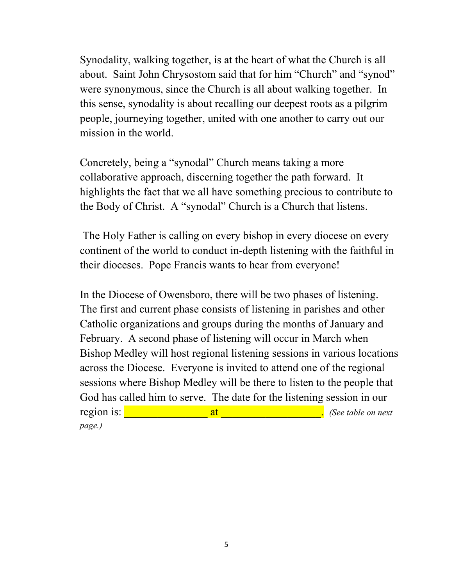Synodality, walking together, is at the heart of what the Church is all about. Saint John Chrysostom said that for him "Church" and "synod" were synonymous, since the Church is all about walking together. In this sense, synodality is about recalling our deepest roots as a pilgrim people, journeying together, united with one another to carry out our mission in the world.

Concretely, being a "synodal" Church means taking a more collaborative approach, discerning together the path forward. It highlights the fact that we all have something precious to contribute to the Body of Christ. A "synodal" Church is a Church that listens.

The Holy Father is calling on every bishop in every diocese on every continent of the world to conduct in-depth listening with the faithful in their dioceses. Pope Francis wants to hear from everyone!

In the Diocese of Owensboro, there will be two phases of listening. The first and current phase consists of listening in parishes and other Catholic organizations and groups during the months of January and February. A second phase of listening will occur in March when Bishop Medley will host regional listening sessions in various locations across the Diocese. Everyone is invited to attend one of the regional sessions where Bishop Medley will be there to listen to the people that God has called him to serve. The date for the listening session in our region is: \_\_\_\_\_\_\_\_\_\_\_\_\_\_\_ at \_\_\_\_\_\_\_\_\_\_\_\_\_\_\_\_\_\_. *(See table on next page.)*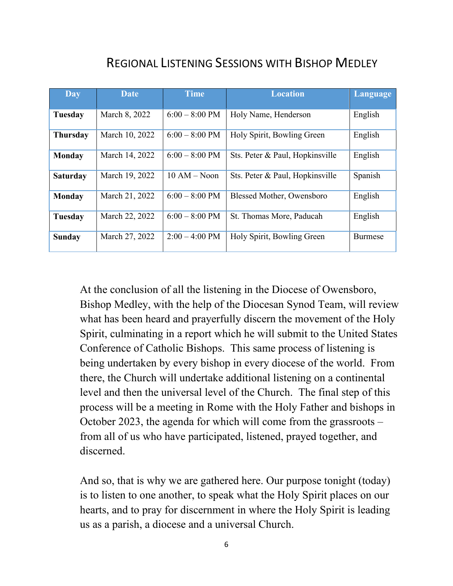# REGIONAL LISTENING SESSIONS WITH BISHOP MEDLEY

| Day             | <b>Date</b>    | <b>Time</b>              | <b>Location</b>                 | <b>Language</b> |
|-----------------|----------------|--------------------------|---------------------------------|-----------------|
| Tuesday         | March 8, 2022  | $6:00 - 8:00$ PM         | Holy Name, Henderson            | English         |
| <b>Thursday</b> | March 10, 2022 | $6:00 - 8:00$ PM         | Holy Spirit, Bowling Green      | English         |
| <b>Monday</b>   | March 14, 2022 | $6:00 - 8:00$ PM         | Sts. Peter & Paul, Hopkinsville | English         |
| <b>Saturday</b> | March 19, 2022 | $10 AM - Noon$           | Sts. Peter & Paul, Hopkinsville | Spanish         |
| <b>Monday</b>   | March 21, 2022 | $6:00 - 8:00$ PM         | Blessed Mother, Owensboro       | English         |
| Tuesday         | March 22, 2022 | $6:00 - 8:00$ PM         | St. Thomas More, Paducah        | English         |
| <b>Sunday</b>   | March 27, 2022 | $2:00 - 4:00 \text{ PM}$ | Holy Spirit, Bowling Green      | Burmese         |

At the conclusion of all the listening in the Diocese of Owensboro, Bishop Medley, with the help of the Diocesan Synod Team, will review what has been heard and prayerfully discern the movement of the Holy Spirit, culminating in a report which he will submit to the United States Conference of Catholic Bishops. This same process of listening is being undertaken by every bishop in every diocese of the world. From there, the Church will undertake additional listening on a continental level and then the universal level of the Church. The final step of this process will be a meeting in Rome with the Holy Father and bishops in October 2023, the agenda for which will come from the grassroots – from all of us who have participated, listened, prayed together, and discerned.

And so, that is why we are gathered here. Our purpose tonight (today) is to listen to one another, to speak what the Holy Spirit places on our hearts, and to pray for discernment in where the Holy Spirit is leading us as a parish, a diocese and a universal Church.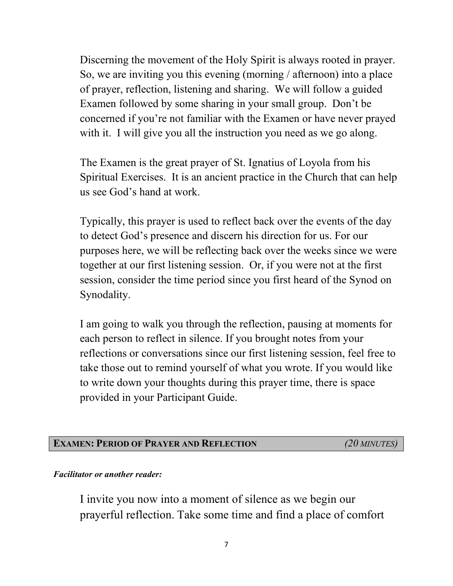Discerning the movement of the Holy Spirit is always rooted in prayer. So, we are inviting you this evening (morning / afternoon) into a place of prayer, reflection, listening and sharing. We will follow a guided Examen followed by some sharing in your small group. Don't be concerned if you're not familiar with the Examen or have never prayed with it. I will give you all the instruction you need as we go along.

The Examen is the great prayer of St. Ignatius of Loyola from his Spiritual Exercises. It is an ancient practice in the Church that can help us see God's hand at work.

Typically, this prayer is used to reflect back over the events of the day to detect God's presence and discern his direction for us. For our purposes here, we will be reflecting back over the weeks since we were together at our first listening session. Or, if you were not at the first session, consider the time period since you first heard of the Synod on Synodality.

I am going to walk you through the reflection, pausing at moments for each person to reflect in silence. If you brought notes from your reflections or conversations since our first listening session, feel free to take those out to remind yourself of what you wrote. If you would like to write down your thoughts during this prayer time, there is space provided in your Participant Guide.

# **EXAMEN: PERIOD OF PRAYER AND REFLECTION** *(20 MINUTES)*

#### *Facilitator or another reader:*

I invite you now into a moment of silence as we begin our prayerful reflection. Take some time and find a place of comfort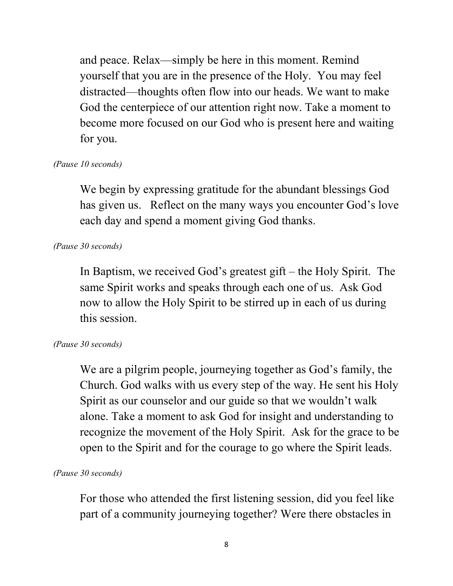and peace. Relax—simply be here in this moment. Remind yourself that you are in the presence of the Holy. You may feel distracted—thoughts often flow into our heads. We want to make God the centerpiece of our attention right now. Take a moment to become more focused on our God who is present here and waiting for you.

# *(Pause 10 seconds)*

We begin by expressing gratitude for the abundant blessings God has given us. Reflect on the many ways you encounter God's love each day and spend a moment giving God thanks.

# *(Pause 30 seconds)*

In Baptism, we received God's greatest gift – the Holy Spirit. The same Spirit works and speaks through each one of us. Ask God now to allow the Holy Spirit to be stirred up in each of us during this session.

# *(Pause 30 seconds)*

We are a pilgrim people, journeying together as God's family, the Church. God walks with us every step of the way. He sent his Holy Spirit as our counselor and our guide so that we wouldn't walk alone. Take a moment to ask God for insight and understanding to recognize the movement of the Holy Spirit. Ask for the grace to be open to the Spirit and for the courage to go where the Spirit leads.

# *(Pause 30 seconds)*

For those who attended the first listening session, did you feel like part of a community journeying together? Were there obstacles in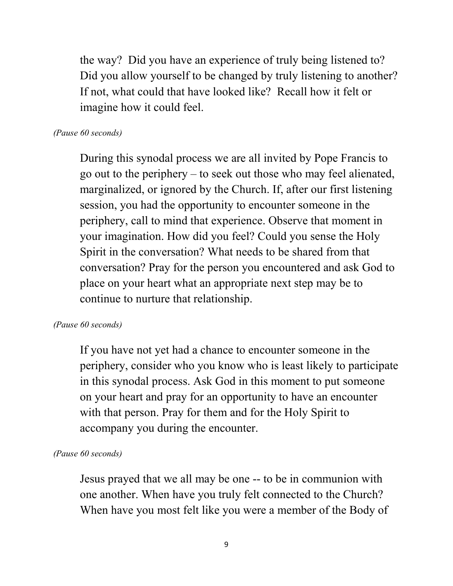the way? Did you have an experience of truly being listened to? Did you allow yourself to be changed by truly listening to another? If not, what could that have looked like? Recall how it felt or imagine how it could feel.

# *(Pause 60 seconds)*

During this synodal process we are all invited by Pope Francis to go out to the periphery – to seek out those who may feel alienated, marginalized, or ignored by the Church. If, after our first listening session, you had the opportunity to encounter someone in the periphery, call to mind that experience. Observe that moment in your imagination. How did you feel? Could you sense the Holy Spirit in the conversation? What needs to be shared from that conversation? Pray for the person you encountered and ask God to place on your heart what an appropriate next step may be to continue to nurture that relationship.

#### *(Pause 60 seconds)*

If you have not yet had a chance to encounter someone in the periphery, consider who you know who is least likely to participate in this synodal process. Ask God in this moment to put someone on your heart and pray for an opportunity to have an encounter with that person. Pray for them and for the Holy Spirit to accompany you during the encounter.

#### *(Pause 60 seconds)*

Jesus prayed that we all may be one -- to be in communion with one another. When have you truly felt connected to the Church? When have you most felt like you were a member of the Body of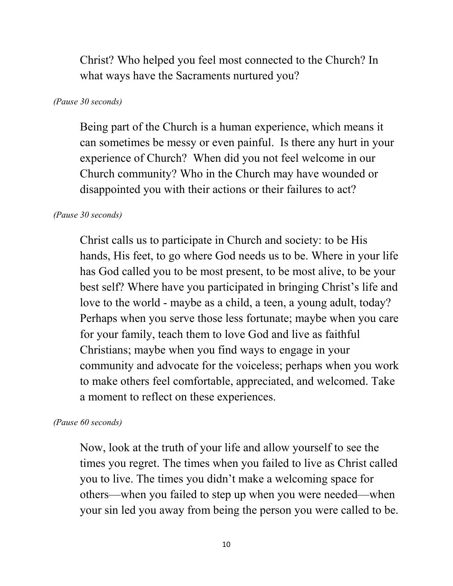Christ? Who helped you feel most connected to the Church? In what ways have the Sacraments nurtured you?

#### *(Pause 30 seconds)*

Being part of the Church is a human experience, which means it can sometimes be messy or even painful. Is there any hurt in your experience of Church? When did you not feel welcome in our Church community? Who in the Church may have wounded or disappointed you with their actions or their failures to act?

# *(Pause 30 seconds)*

Christ calls us to participate in Church and society: to be His hands, His feet, to go where God needs us to be. Where in your life has God called you to be most present, to be most alive, to be your best self? Where have you participated in bringing Christ's life and love to the world - maybe as a child, a teen, a young adult, today? Perhaps when you serve those less fortunate; maybe when you care for your family, teach them to love God and live as faithful Christians; maybe when you find ways to engage in your community and advocate for the voiceless; perhaps when you work to make others feel comfortable, appreciated, and welcomed. Take a moment to reflect on these experiences.

# *(Pause 60 seconds)*

Now, look at the truth of your life and allow yourself to see the times you regret. The times when you failed to live as Christ called you to live. The times you didn't make a welcoming space for others—when you failed to step up when you were needed—when your sin led you away from being the person you were called to be.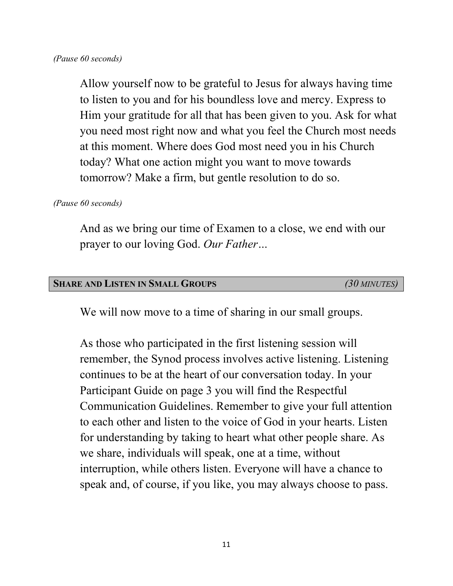Allow yourself now to be grateful to Jesus for always having time to listen to you and for his boundless love and mercy. Express to Him your gratitude for all that has been given to you. Ask for what you need most right now and what you feel the Church most needs at this moment. Where does God most need you in his Church today? What one action might you want to move towards tomorrow? Make a firm, but gentle resolution to do so.

*(Pause 60 seconds)* 

And as we bring our time of Examen to a close, we end with our prayer to our loving God. *Our Father…*

#### **SHARE AND LISTEN IN SMALL GROUPS** *(30 MINUTES)*

We will now move to a time of sharing in our small groups.

As those who participated in the first listening session will remember, the Synod process involves active listening. Listening continues to be at the heart of our conversation today. In your Participant Guide on page 3 you will find the Respectful Communication Guidelines. Remember to give your full attention to each other and listen to the voice of God in your hearts. Listen for understanding by taking to heart what other people share. As we share, individuals will speak, one at a time, without interruption, while others listen. Everyone will have a chance to speak and, of course, if you like, you may always choose to pass.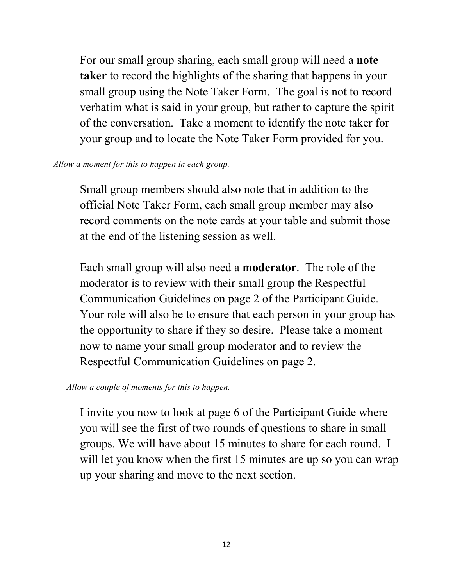For our small group sharing, each small group will need a **note taker** to record the highlights of the sharing that happens in your small group using the Note Taker Form. The goal is not to record verbatim what is said in your group, but rather to capture the spirit of the conversation. Take a moment to identify the note taker for your group and to locate the Note Taker Form provided for you.

#### *Allow a moment for this to happen in each group.*

Small group members should also note that in addition to the official Note Taker Form, each small group member may also record comments on the note cards at your table and submit those at the end of the listening session as well.

Each small group will also need a **moderator**. The role of the moderator is to review with their small group the Respectful Communication Guidelines on page 2 of the Participant Guide. Your role will also be to ensure that each person in your group has the opportunity to share if they so desire. Please take a moment now to name your small group moderator and to review the Respectful Communication Guidelines on page 2.

# *Allow a couple of moments for this to happen.*

I invite you now to look at page 6 of the Participant Guide where you will see the first of two rounds of questions to share in small groups. We will have about 15 minutes to share for each round. I will let you know when the first 15 minutes are up so you can wrap up your sharing and move to the next section.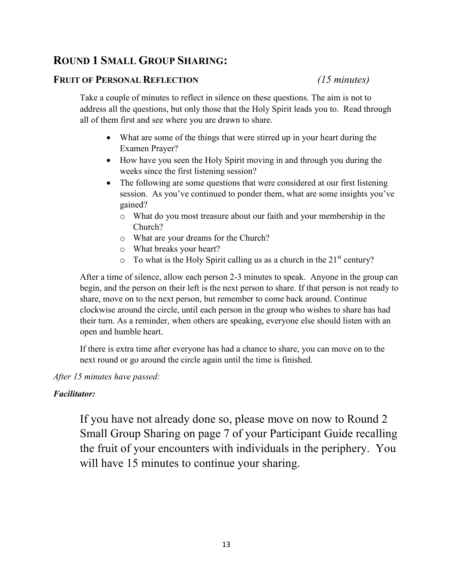# **ROUND 1 SMALL GROUP SHARING:**

#### **FRUIT OF PERSONAL REFLECTION** *(15 minutes)*

Take a couple of minutes to reflect in silence on these questions. The aim is not to address all the questions, but only those that the Holy Spirit leads you to. Read through all of them first and see where you are drawn to share.

- What are some of the things that were stirred up in your heart during the Examen Prayer?
- How have you seen the Holy Spirit moving in and through you during the weeks since the first listening session?
- The following are some questions that were considered at our first listening session. As you've continued to ponder them, what are some insights you've gained?
	- o What do you most treasure about our faith and your membership in the Church?
	- o What are your dreams for the Church?
	- o What breaks your heart?
	- $\circ$  To what is the Holy Spirit calling us as a church in the 21<sup>st</sup> century?

After a time of silence, allow each person 2-3 minutes to speak. Anyone in the group can begin, and the person on their left is the next person to share. If that person is not ready to share, move on to the next person, but remember to come back around. Continue clockwise around the circle, until each person in the group who wishes to share has had their turn. As a reminder, when others are speaking, everyone else should listen with an open and humble heart.

If there is extra time after everyone has had a chance to share, you can move on to the next round or go around the circle again until the time is finished.

#### *After 15 minutes have passed:*

#### *Facilitator:*

If you have not already done so, please move on now to Round 2 Small Group Sharing on page 7 of your Participant Guide recalling the fruit of your encounters with individuals in the periphery. You will have 15 minutes to continue your sharing.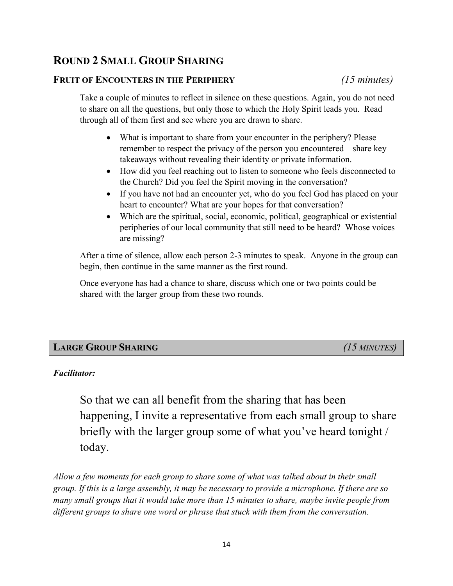# **ROUND 2 SMALL GROUP SHARING**

#### **FRUIT OF ENCOUNTERS IN THE PERIPHERY** *(15 minutes)*

Take a couple of minutes to reflect in silence on these questions. Again, you do not need to share on all the questions, but only those to which the Holy Spirit leads you. Read through all of them first and see where you are drawn to share.

- What is important to share from your encounter in the periphery? Please remember to respect the privacy of the person you encountered – share key takeaways without revealing their identity or private information.
- How did you feel reaching out to listen to someone who feels disconnected to the Church? Did you feel the Spirit moving in the conversation?
- If you have not had an encounter yet, who do you feel God has placed on your heart to encounter? What are your hopes for that conversation?
- Which are the spiritual, social, economic, political, geographical or existential peripheries of our local community that still need to be heard? Whose voices are missing?

After a time of silence, allow each person 2-3 minutes to speak. Anyone in the group can begin, then continue in the same manner as the first round.

Once everyone has had a chance to share, discuss which one or two points could be shared with the larger group from these two rounds.

# **LARGE GROUP SHARING** *(15 MINUTES)*

#### *Facilitator:*

So that we can all benefit from the sharing that has been happening, I invite a representative from each small group to share briefly with the larger group some of what you've heard tonight / today.

*Allow a few moments for each group to share some of what was talked about in their small group. If this is a large assembly, it may be necessary to provide a microphone. If there are so many small groups that it would take more than 15 minutes to share, maybe invite people from different groups to share one word or phrase that stuck with them from the conversation.*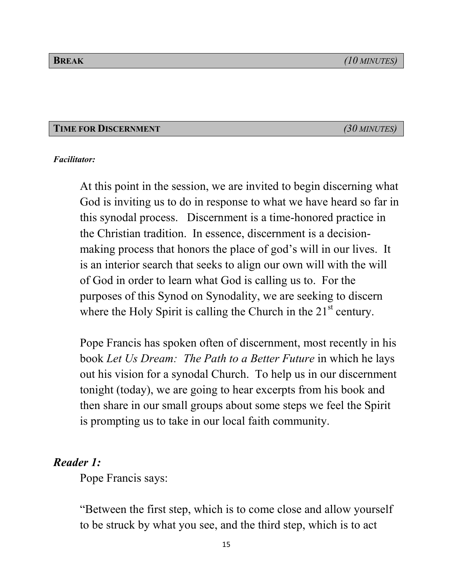#### **TIME FOR DISCERNMENT** *(30 MINUTES)*

#### *Facilitator:*

At this point in the session, we are invited to begin discerning what God is inviting us to do in response to what we have heard so far in this synodal process. Discernment is a time-honored practice in the Christian tradition. In essence, discernment is a decisionmaking process that honors the place of god's will in our lives. It is an interior search that seeks to align our own will with the will of God in order to learn what God is calling us to. For the purposes of this Synod on Synodality, we are seeking to discern where the Holy Spirit is calling the Church in the  $21<sup>st</sup>$  century.

Pope Francis has spoken often of discernment, most recently in his book *Let Us Dream: The Path to a Better Future* in which he lays out his vision for a synodal Church. To help us in our discernment tonight (today), we are going to hear excerpts from his book and then share in our small groups about some steps we feel the Spirit is prompting us to take in our local faith community.

# *Reader 1:*

Pope Francis says:

"Between the first step, which is to come close and allow yourself to be struck by what you see, and the third step, which is to act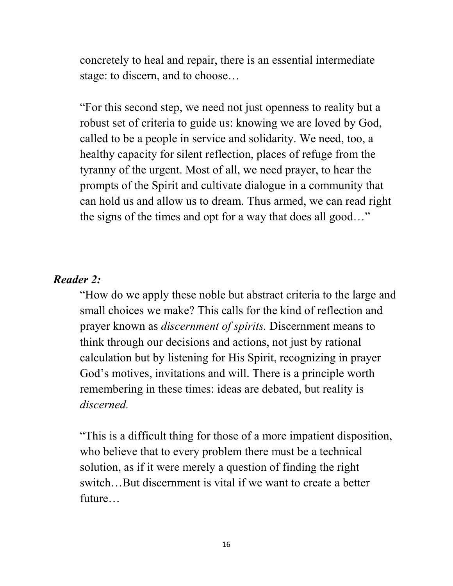concretely to heal and repair, there is an essential intermediate stage: to discern, and to choose…

"For this second step, we need not just openness to reality but a robust set of criteria to guide us: knowing we are loved by God, called to be a people in service and solidarity. We need, too, a healthy capacity for silent reflection, places of refuge from the tyranny of the urgent. Most of all, we need prayer, to hear the prompts of the Spirit and cultivate dialogue in a community that can hold us and allow us to dream. Thus armed, we can read right the signs of the times and opt for a way that does all good…"

# *Reader 2:*

"How do we apply these noble but abstract criteria to the large and small choices we make? This calls for the kind of reflection and prayer known as *discernment of spirits.* Discernment means to think through our decisions and actions, not just by rational calculation but by listening for His Spirit, recognizing in prayer God's motives, invitations and will. There is a principle worth remembering in these times: ideas are debated, but reality is *discerned.*

"This is a difficult thing for those of a more impatient disposition, who believe that to every problem there must be a technical solution, as if it were merely a question of finding the right switch…But discernment is vital if we want to create a better future…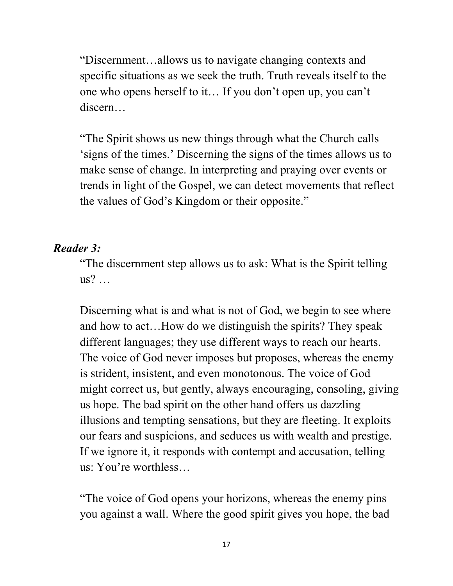"Discernment…allows us to navigate changing contexts and specific situations as we seek the truth. Truth reveals itself to the one who opens herself to it… If you don't open up, you can't discern…

"The Spirit shows us new things through what the Church calls 'signs of the times.' Discerning the signs of the times allows us to make sense of change. In interpreting and praying over events or trends in light of the Gospel, we can detect movements that reflect the values of God's Kingdom or their opposite."

# *Reader 3:*

"The discernment step allows us to ask: What is the Spirit telling us? …

Discerning what is and what is not of God, we begin to see where and how to act…How do we distinguish the spirits? They speak different languages; they use different ways to reach our hearts. The voice of God never imposes but proposes, whereas the enemy is strident, insistent, and even monotonous. The voice of God might correct us, but gently, always encouraging, consoling, giving us hope. The bad spirit on the other hand offers us dazzling illusions and tempting sensations, but they are fleeting. It exploits our fears and suspicions, and seduces us with wealth and prestige. If we ignore it, it responds with contempt and accusation, telling us: You're worthless…

"The voice of God opens your horizons, whereas the enemy pins you against a wall. Where the good spirit gives you hope, the bad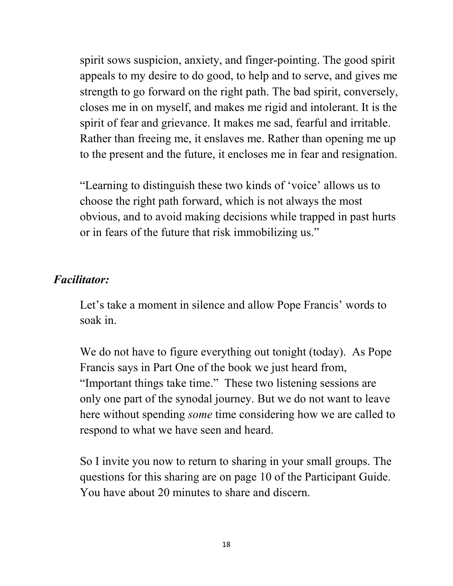spirit sows suspicion, anxiety, and finger-pointing. The good spirit appeals to my desire to do good, to help and to serve, and gives me strength to go forward on the right path. The bad spirit, conversely, closes me in on myself, and makes me rigid and intolerant. It is the spirit of fear and grievance. It makes me sad, fearful and irritable. Rather than freeing me, it enslaves me. Rather than opening me up to the present and the future, it encloses me in fear and resignation.

"Learning to distinguish these two kinds of 'voice' allows us to choose the right path forward, which is not always the most obvious, and to avoid making decisions while trapped in past hurts or in fears of the future that risk immobilizing us."

# *Facilitator:*

Let's take a moment in silence and allow Pope Francis' words to soak in.

We do not have to figure everything out tonight (today). As Pope Francis says in Part One of the book we just heard from, "Important things take time." These two listening sessions are only one part of the synodal journey. But we do not want to leave here without spending *some* time considering how we are called to respond to what we have seen and heard.

So I invite you now to return to sharing in your small groups. The questions for this sharing are on page 10 of the Participant Guide. You have about 20 minutes to share and discern.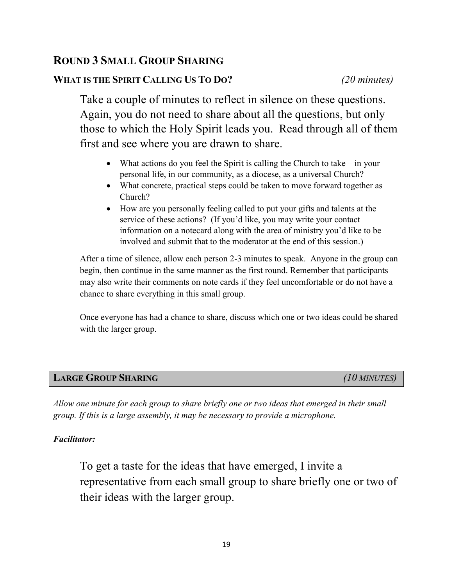# **ROUND 3 SMALL GROUP SHARING**

# **WHAT IS THE SPIRIT CALLING US TO DO?** *(20 minutes)*

Take a couple of minutes to reflect in silence on these questions. Again, you do not need to share about all the questions, but only those to which the Holy Spirit leads you. Read through all of them first and see where you are drawn to share.

- What actions do you feel the Spirit is calling the Church to take in your personal life, in our community, as a diocese, as a universal Church?
- What concrete, practical steps could be taken to move forward together as Church?
- How are you personally feeling called to put your gifts and talents at the service of these actions? (If you'd like, you may write your contact information on a notecard along with the area of ministry you'd like to be involved and submit that to the moderator at the end of this session.)

After a time of silence, allow each person 2-3 minutes to speak. Anyone in the group can begin, then continue in the same manner as the first round. Remember that participants may also write their comments on note cards if they feel uncomfortable or do not have a chance to share everything in this small group.

Once everyone has had a chance to share, discuss which one or two ideas could be shared with the larger group.

# **LARGE GROUP SHARING** *(10 MINUTES)*

*Allow one minute for each group to share briefly one or two ideas that emerged in their small group. If this is a large assembly, it may be necessary to provide a microphone.*

#### *Facilitator:*

To get a taste for the ideas that have emerged, I invite a representative from each small group to share briefly one or two of their ideas with the larger group.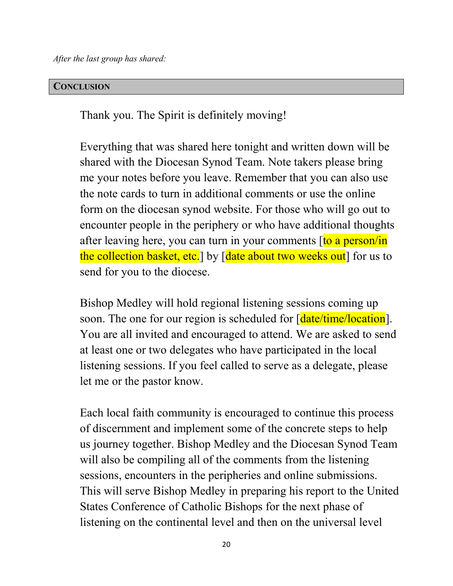*After the last group has shared:*

#### **CONCLUSION**

Thank you. The Spirit is definitely moving!

Everything that was shared here tonight and written down will be shared with the Diocesan Synod Team. Note takers please bring me your notes before you leave. Remember that you can also use the note cards to turn in additional comments or use the online form on the diocesan synod website. For those who will go out to encounter people in the periphery or who have additional thoughts after leaving here, you can turn in your comments  $[to a person/in]$ the collection basket, etc. by [date about two weeks out] for us to send for you to the diocese.

Bishop Medley will hold regional listening sessions coming up soon. The one for our region is scheduled for [date/time/location]. You are all invited and encouraged to attend. We are asked to send at least one or two delegates who have participated in the local listening sessions. If you feel called to serve as a delegate, please let me or the pastor know.

Each local faith community is encouraged to continue this process of discernment and implement some of the concrete steps to help us journey together. Bishop Medley and the Diocesan Synod Team will also be compiling all of the comments from the listening sessions, encounters in the peripheries and online submissions. This will serve Bishop Medley in preparing his report to the United States Conference of Catholic Bishops for the next phase of listening on the continental level and then on the universal level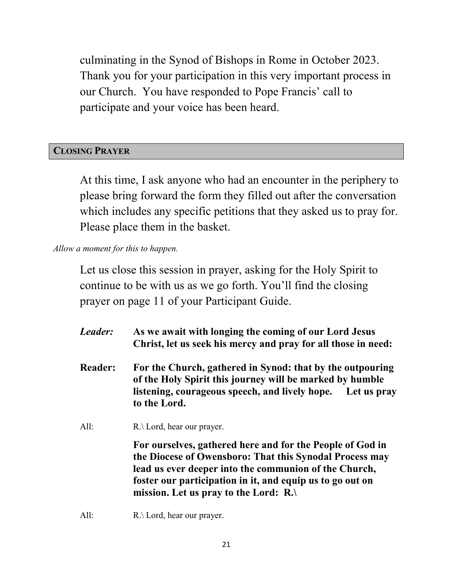culminating in the Synod of Bishops in Rome in October 2023. Thank you for your participation in this very important process in our Church. You have responded to Pope Francis' call to participate and your voice has been heard.

# **CLOSING PRAYER**

At this time, I ask anyone who had an encounter in the periphery to please bring forward the form they filled out after the conversation which includes any specific petitions that they asked us to pray for. Please place them in the basket.

*Allow a moment for this to happen.*

Let us close this session in prayer, asking for the Holy Spirit to continue to be with us as we go forth. You'll find the closing prayer on page 11 of your Participant Guide.

- *Leader:* **As we await with longing the coming of our Lord Jesus Christ, let us seek his mercy and pray for all those in need:**
- **Reader: For the Church, gathered in Synod: that by the outpouring of the Holy Spirit this journey will be marked by humble listening, courageous speech, and lively hope. Let us pray to the Lord.**
- All:  $R.\Delta$  Lord, hear our prayer.

**For ourselves, gathered here and for the People of God in the Diocese of Owensboro: That this Synodal Process may lead us ever deeper into the communion of the Church, foster our participation in it, and equip us to go out on mission. Let us pray to the Lord: R.\**

All:  $R.\Delta$  Lord, hear our prayer.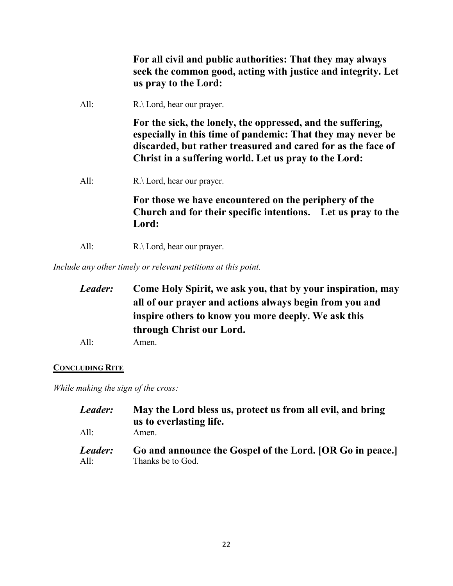**For all civil and public authorities: That they may always seek the common good, acting with justice and integrity. Let us pray to the Lord:** 

All: R.\ Lord, hear our prayer.

**For the sick, the lonely, the oppressed, and the suffering, especially in this time of pandemic: That they may never be discarded, but rather treasured and cared for as the face of Christ in a suffering world. Let us pray to the Lord:** 

All: R.\ Lord, hear our prayer.

**For those we have encountered on the periphery of the Church and for their specific intentions. Let us pray to the Lord:** 

All: R.\ Lord, hear our prayer.

*Include any other timely or relevant petitions at this point.*

| Leader: | Come Holy Spirit, we ask you, that by your inspiration, may                                                                                |  |  |      |       |
|---------|--------------------------------------------------------------------------------------------------------------------------------------------|--|--|------|-------|
|         | all of our prayer and actions always begin from you and<br>inspire others to know you more deeply. We ask this<br>through Christ our Lord. |  |  |      |       |
|         |                                                                                                                                            |  |  | All: | Amen. |

#### **CONCLUDING RITE**

*While making the sign of the cross:*

| Leader:<br>All: | May the Lord bless us, protect us from all evil, and bring<br>us to everlasting life.<br>Amen. |
|-----------------|------------------------------------------------------------------------------------------------|
| Leader:         | Go and announce the Gospel of the Lord. [OR Go in peace.]                                      |
| All:            | Thanks be to God.                                                                              |